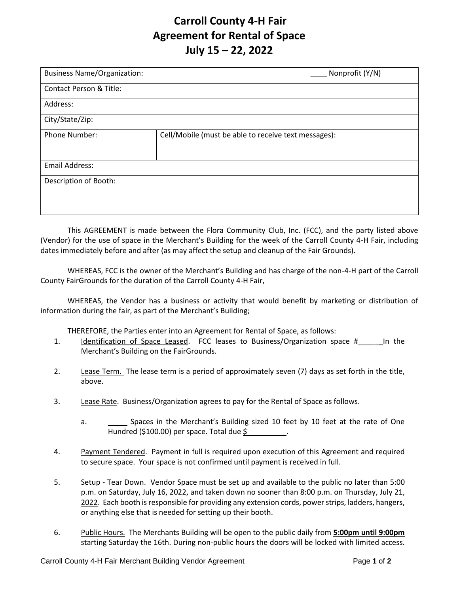## **Carroll County 4-H Fair Agreement for Rental of Space July 15 – 22, 2022**

| <b>Business Name/Organization:</b> | Nonprofit (Y/N)                                      |
|------------------------------------|------------------------------------------------------|
| Contact Person & Title:            |                                                      |
| Address:                           |                                                      |
| City/State/Zip:                    |                                                      |
| <b>Phone Number:</b>               | Cell/Mobile (must be able to receive text messages): |
|                                    |                                                      |
| <b>Email Address:</b>              |                                                      |
| Description of Booth:              |                                                      |
|                                    |                                                      |
|                                    |                                                      |

This AGREEMENT is made between the Flora Community Club, Inc. (FCC), and the party listed above (Vendor) for the use of space in the Merchant's Building for the week of the Carroll County 4-H Fair, including dates immediately before and after (as may affect the setup and cleanup of the Fair Grounds).

WHEREAS, FCC is the owner of the Merchant's Building and has charge of the non-4-H part of the Carroll County FairGrounds for the duration of the Carroll County 4-H Fair,

WHEREAS, the Vendor has a business or activity that would benefit by marketing or distribution of information during the fair, as part of the Merchant's Building;

THEREFORE, the Parties enter into an Agreement for Rental of Space, as follows:

- 1. Identification of Space Leased. FCC leases to Business/Organization space # In the Merchant's Building on the FairGrounds.
- 2. Lease Term. The lease term is a period of approximately seven (7) days as set forth in the title, above.
- 3. Lease Rate. Business/Organization agrees to pay for the Rental of Space as follows.
	- a. Spaces in the Merchant's Building sized 10 feet by 10 feet at the rate of One Hundred (\$100.00) per space. Total due  $\frac{1}{2}$
- 4. Payment Tendered. Payment in full is required upon execution of this Agreement and required to secure space. Your space is not confirmed until payment is received in full.
- 5. Setup Tear Down. Vendor Space must be set up and available to the public no later than 5:00 p.m. on Saturday, July 16, 2022, and taken down no sooner than 8:00 p.m. on Thursday, July 21, 2022. Each booth is responsible for providing any extension cords, power strips, ladders, hangers, or anything else that is needed for setting up their booth.
- 6. Public Hours. The Merchants Building will be open to the public daily from **5:00pm until 9:00pm** starting Saturday the 16th. During non-public hours the doors will be locked with limited access.